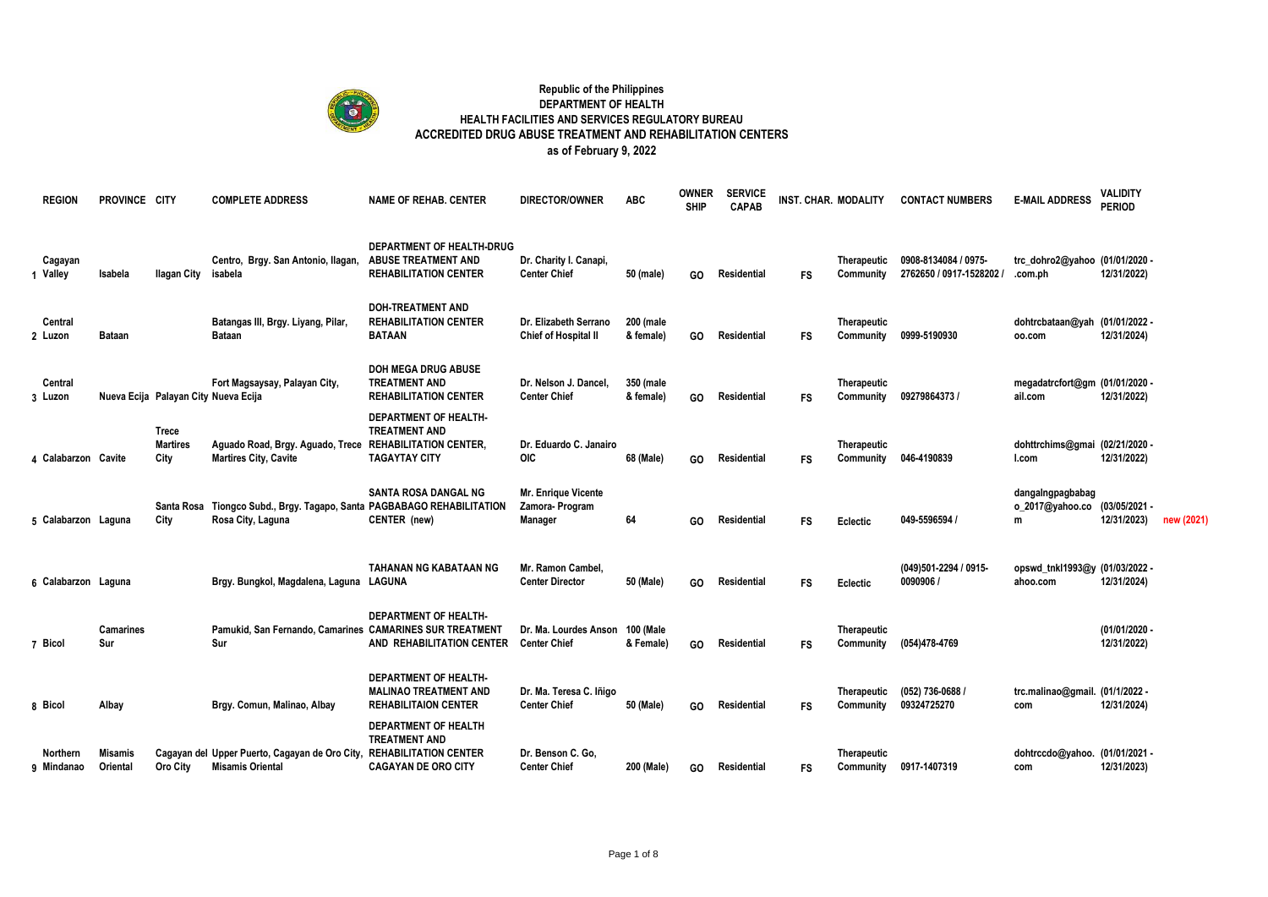

## **Republic of the Philippines DEPARTMENT OF HEALTH HEALTH FACILITIES AND SERVICES REGULATORY BUREAU ACCREDITED DRUG ABUSE TREATMENT AND REHABILITATION CENTERS as of February 9, 2022**

| <b>REGION</b>          | PROVINCE CITY           |                                      | <b>COMPLETE ADDRESS</b>                                                                         | <b>NAME OF REHAB. CENTER</b>                                                                | <b>DIRECTOR/OWNER</b>                                          | <b>ABC</b>             | <b>OWNER</b><br><b>SHIP</b> | <b>SERVICE</b><br><b>CAPAB</b> |           | <b>INST. CHAR. MODALITY</b>     | <b>CONTACT NUMBERS</b>                           | <b>E-MAIL ADDRESS</b>                      | <b>VALIDITY</b><br><b>PERIOD</b> |            |
|------------------------|-------------------------|--------------------------------------|-------------------------------------------------------------------------------------------------|---------------------------------------------------------------------------------------------|----------------------------------------------------------------|------------------------|-----------------------------|--------------------------------|-----------|---------------------------------|--------------------------------------------------|--------------------------------------------|----------------------------------|------------|
| Cagayan<br>1 Valley    | Isabela                 | <b>Ilagan City</b>                   | Centro, Brgy. San Antonio, Ilagan,<br>isabela                                                   | DEPARTMENT OF HEALTH-DRUG<br><b>ABUSE TREATMENT AND</b><br><b>REHABILITATION CENTER</b>     | Dr. Charity I. Canapi,<br><b>Center Chief</b>                  | 50 (male)              | GO.                         | Residential                    | <b>FS</b> | Therapeutic<br>Community        | 0908-8134084 / 0975-<br>2762650 / 0917-1528202 / | trc_dohro2@yahoo (01/01/2020 -<br>.com.ph  | 12/31/2022)                      |            |
| Central<br>2 Luzon     | <b>Bataan</b>           |                                      | Batangas III, Brgy. Liyang, Pilar,<br><b>Bataan</b>                                             | <b>DOH-TREATMENT AND</b><br><b>REHABILITATION CENTER</b><br><b>BATAAN</b>                   | Dr. Elizabeth Serrano<br>Chief of Hospital II                  | 200 (male<br>& female) | GO                          | Residential                    | <b>FS</b> | <b>Therapeutic</b><br>Community | 0999-5190930                                     | dohtrcbataan@yah (01/01/2022 -<br>00.com   | 12/31/2024)                      |            |
| Central<br>3 Luzon     |                         | Nueva Ecija Palayan City Nueva Ecija | Fort Magsaysay, Palayan City,                                                                   | <b>DOH MEGA DRUG ABUSE</b><br><b>TREATMENT AND</b><br><b>REHABILITATION CENTER</b>          | Dr. Nelson J. Dancel,<br><b>Center Chief</b>                   | 350 (male<br>& female) | GO.                         | Residential                    | FS        | <b>Therapeutic</b><br>Community | 09279864373                                      | megadatrcfort@gm (01/01/2020 -<br>ail.com  | 12/31/2022)                      |            |
| 4 Calabarzon Cavite    |                         | Trece<br><b>Martires</b><br>City     | Aguado Road, Brgy. Aguado, Trece REHABILITATION CENTER,<br><b>Martires City, Cavite</b>         | <b>DEPARTMENT OF HEALTH-</b><br><b>TREATMENT AND</b><br><b>TAGAYTAY CITY</b>                | Dr. Eduardo C. Janairo<br><b>OIC</b>                           | 68 (Male)              | GO.                         | Residential                    | <b>FS</b> | <b>Therapeutic</b><br>Community | 046-4190839                                      | dohttrchims@gmai (02/21/2020 -<br>l.com    | 12/31/2022)                      |            |
| 5 Calabarzon Laguna    |                         | Santa Rosa<br>City                   | Tiongco Subd., Brgy. Tagapo, Santa PAGBABAGO REHABILITATION<br>Rosa City, Laguna                | <b>SANTA ROSA DANGAL NG</b><br>CENTER (new)                                                 | <b>Mr. Enrique Vicente</b><br>Zamora-Program<br><b>Manager</b> | 64                     | GO.                         | Residential                    | <b>FS</b> | Eclectic                        | 049-5596594 /                                    | dangalngpagbabag<br>o_2017@yahoo.co<br>m   | (03/05/2021 -<br>12/31/2023)     | new (2021) |
| 6 Calabarzon Laguna    |                         |                                      | Brgy. Bungkol, Magdalena, Laguna                                                                | <b>TAHANAN NG KABATAAN NG</b><br>LAGUNA                                                     | Mr. Ramon Cambel.<br><b>Center Director</b>                    | 50 (Male)              | GO.                         | Residential                    | FS        | Eclectic                        | (049)501-2294 / 0915-<br>0090906                 | opswd tnkl1993@y (01/03/2022 -<br>ahoo.com | 12/31/2024)                      |            |
| 7 Bicol                | <b>Camarines</b><br>Sur |                                      | Pamukid, San Fernando, Camarines CAMARINES SUR TREATMENT<br>Sur                                 | <b>DEPARTMENT OF HEALTH-</b><br>AND REHABILITATION CENTER                                   | Dr. Ma. Lourdes Anson<br><b>Center Chief</b>                   | 100 (Male<br>& Female) | GO                          | Residential                    | <b>FS</b> | <b>Therapeutic</b><br>Community | (054)478-4769                                    |                                            | (01/01/2020 -<br>12/31/2022)     |            |
| 8 Bicol                | Albay                   |                                      | Brgy. Comun, Malinao, Albay                                                                     | <b>DEPARTMENT OF HEALTH-</b><br><b>MALINAO TREATMENT AND</b><br><b>REHABILITAION CENTER</b> | Dr. Ma. Teresa C. Iñigo<br><b>Center Chief</b>                 | 50 (Male)              | GO.                         | Residential                    | <b>FS</b> | <b>Therapeutic</b><br>Community | (052) 736-0688 /<br>09324725270                  | trc.malinao@gmail. (01/1/2022 -<br>com     | 12/31/2024)                      |            |
| Northern<br>9 Mindanao | Misamis<br>Oriental     | Oro City                             | Cagayan del Upper Puerto, Cagayan de Oro City, REHABILITATION CENTER<br><b>Misamis Oriental</b> | <b>DEPARTMENT OF HEALTH</b><br><b>TREATMENT AND</b><br><b>CAGAYAN DE ORO CITY</b>           | Dr. Benson C. Go.<br><b>Center Chief</b>                       | 200 (Male)             | GO.                         | Residential                    | FS        | <b>Therapeutic</b><br>Community | 0917-1407319                                     | dohtrccdo@yahoo. (01/01/2021 -<br>com      | 12/31/2023)                      |            |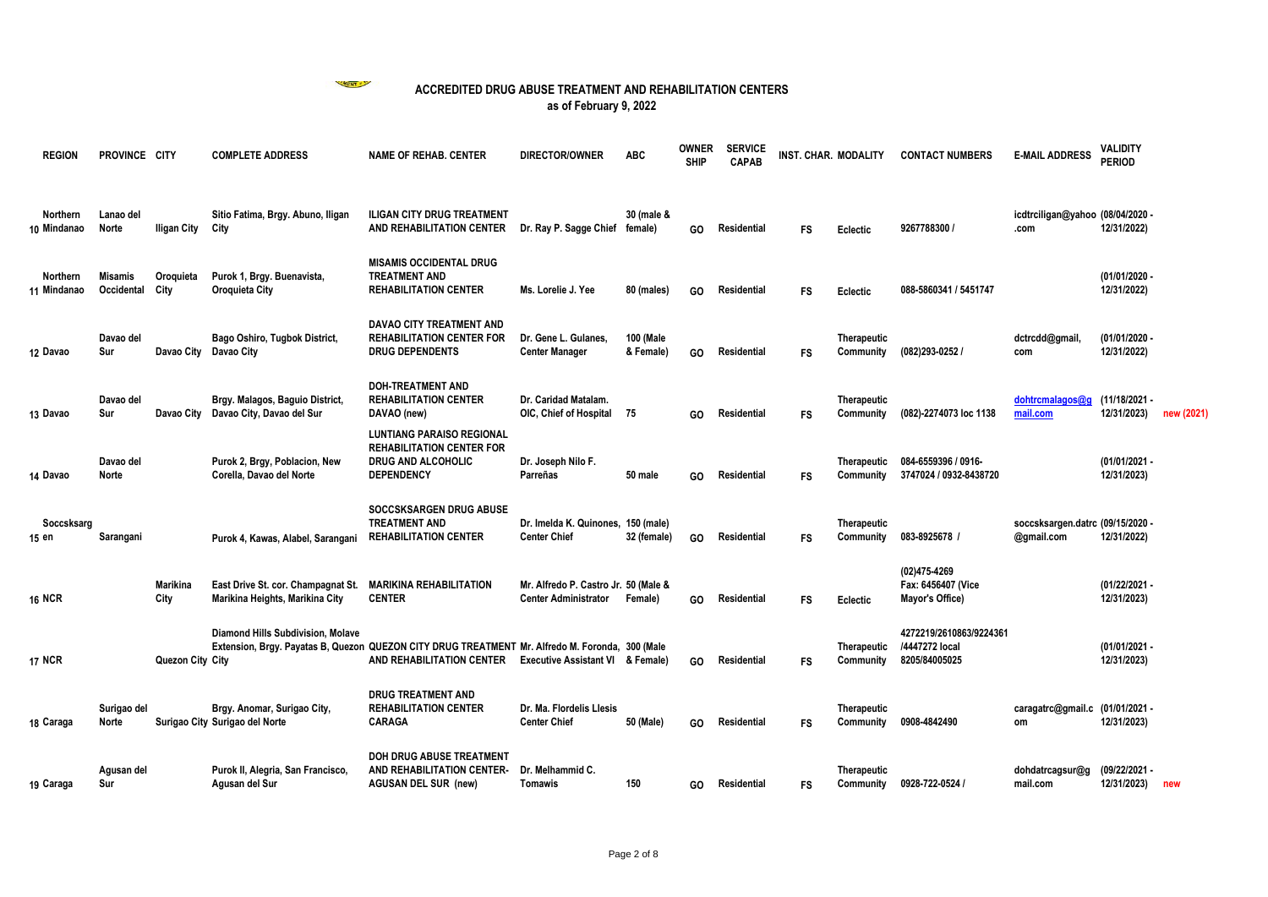

| <b>REGION</b>           | PROVINCE CITY                |                   | <b>COMPLETE ADDRESS</b>                                                                                                              | <b>NAME OF REHAB, CENTER</b>                                                                                           | <b>DIRECTOR/OWNER</b>                                               | <b>ABC</b>             | <b>OWNER</b><br><b>SHIP</b> | <b>SERVICE</b><br><b>CAPAB</b> | INST. CHAR. MODALITY |                                 | <b>CONTACT NUMBERS</b>                                     | <b>E-MAIL ADDRESS</b>                          | VALIDITY<br><b>PERIOD</b>    |            |
|-------------------------|------------------------------|-------------------|--------------------------------------------------------------------------------------------------------------------------------------|------------------------------------------------------------------------------------------------------------------------|---------------------------------------------------------------------|------------------------|-----------------------------|--------------------------------|----------------------|---------------------------------|------------------------------------------------------------|------------------------------------------------|------------------------------|------------|
| Northern<br>10 Mindanao | Lanao del<br><b>Norte</b>    | Iligan City       | Sitio Fatima, Brgy. Abuno, Iligan<br>City                                                                                            | <b>ILIGAN CITY DRUG TREATMENT</b><br>AND REHABILITATION CENTER                                                         | Dr. Ray P. Sagge Chief female)                                      | 30 (male &             | GO                          | Residential                    | <b>FS</b>            | Eclectic                        | 9267788300 /                                               | icdtrciligan@yahoo (08/04/2020 -<br>.com       | 12/31/2022)                  |            |
| Northern<br>11 Mindanao | <b>Misamis</b><br>Occidental | Oroquieta<br>City | Purok 1, Brgy. Buenavista,<br>Oroquieta City                                                                                         | <b>MISAMIS OCCIDENTAL DRUG</b><br><b>TREATMENT AND</b><br><b>REHABILITATION CENTER</b>                                 | Ms. Lorelie J. Yee                                                  | 80 (males)             | GO                          | <b>Residential</b>             | <b>FS</b>            | Eclectic                        | 088-5860341 / 5451747                                      |                                                | (01/01/2020 -<br>12/31/2022) |            |
| 12 Davao                | Davao del<br>Sur             |                   | Bago Oshiro, Tugbok District,<br>Davao City Davao City                                                                               | <b>DAVAO CITY TREATMENT AND</b><br><b>REHABILITATION CENTER FOR</b><br><b>DRUG DEPENDENTS</b>                          | Dr. Gene L. Gulanes.<br><b>Center Manager</b>                       | 100 (Male<br>& Female) | GO                          | Residential                    | <b>FS</b>            | <b>Therapeutic</b><br>Community | (082)293-0252 /                                            | dctrcdd@gmail,<br>com                          | (01/01/2020 -<br>12/31/2022) |            |
| 13 Davao                | Davao del<br>Sur             |                   | Brgy. Malagos, Baguio District,<br>Davao City Davao City, Davao del Sur                                                              | <b>DOH-TREATMENT AND</b><br><b>REHABILITATION CENTER</b><br>DAVAO (new)                                                | Dr. Caridad Matalam.<br>OIC, Chief of Hospital 75                   |                        | GO.                         | Residential                    | <b>FS</b>            | Therapeutic<br>Community        | (082)-2274073 loc 1138                                     | dohtrcmalagos@g<br>mail.com                    | (11/18/2021-<br>12/31/2023)  | new (2021) |
| 14 Davao                | Davao del<br><b>Norte</b>    |                   | Purok 2, Brgy, Poblacion, New<br>Corella, Davao del Norte                                                                            | <b>LUNTIANG PARAISO REGIONAL</b><br><b>REHABILITATION CENTER FOR</b><br><b>DRUG AND ALCOHOLIC</b><br><b>DEPENDENCY</b> | Dr. Joseph Nilo F.<br>Parreñas                                      | 50 male                | GO                          | Residential                    | <b>FS</b>            | Therapeutic<br>Community        | 084-6559396 / 0916-<br>3747024 / 0932-8438720              |                                                | (01/01/2021 -<br>12/31/2023) |            |
| Soccsksarg<br>15 en     | Sarangani                    |                   | Purok 4, Kawas, Alabel, Sarangani                                                                                                    | <b>SOCCSKSARGEN DRUG ABUSE</b><br><b>TREATMENT AND</b><br><b>REHABILITATION CENTER</b>                                 | Dr. Imelda K. Quinones, 150 (male)<br><b>Center Chief</b>           | 32 (female)            | GO.                         | Residential                    | <b>FS</b>            | Therapeutic<br>Community        | 083-8925678 /                                              | soccsksargen.datrc (09/15/2020 -<br>@gmail.com | 12/31/2022)                  |            |
| <b>16 NCR</b>           |                              | Marikina<br>City  | East Drive St. cor. Champagnat St.<br>Marikina Heights, Marikina City                                                                | <b>MARIKINA REHABILITATION</b><br><b>CENTER</b>                                                                        | Mr. Alfredo P. Castro Jr. 50 (Male &<br><b>Center Administrator</b> | Female)                | GO                          | Residential                    | <b>FS</b>            | Eclectic                        | (02)475-4269<br>Fax: 6456407 (Vice<br>Mayor's Office)      |                                                | (01/22/2021 -<br>12/31/2023) |            |
| <b>17 NCR</b>           |                              | Quezon City City  | Diamond Hills Subdivision, Molave<br>Extension, Brgy. Payatas B, Quezon QUEZON CITY DRUG TREATMENT Mr. Alfredo M. Foronda, 300 (Male | AND REHABILITATION CENTER                                                                                              | <b>Executive Assistant VI &amp; Female)</b>                         |                        | GO                          | Residential                    | <b>FS</b>            | Therapeutic<br>Community        | 4272219/2610863/9224361<br>/4447272 local<br>8205/84005025 |                                                | (01/01/2021 -<br>12/31/2023) |            |
| 18 Caraga               | Surigao del<br>Norte         |                   | Brgy. Anomar, Surigao City,<br>Surigao City Surigao del Norte                                                                        | <b>DRUG TREATMENT AND</b><br><b>REHABILITATION CENTER</b><br><b>CARAGA</b>                                             | Dr. Ma. Flordelis Llesis<br><b>Center Chief</b>                     | 50 (Male)              | GO                          | Residential                    | <b>FS</b>            | Therapeutic<br>Community        | 0908-4842490                                               | caragatrc@gmail.c (01/01/2021 -<br>om          | 12/31/2023)                  |            |
| 19 Caraga               | Agusan del<br>Sur            |                   | Purok II, Alegria, San Francisco,<br>Agusan del Sur                                                                                  | <b>DOH DRUG ABUSE TREATMENT</b><br>AND REHABILITATION CENTER-<br><b>AGUSAN DEL SUR (new)</b>                           | Dr. Melhammid C.<br>Tomawis                                         | 150                    | GO.                         | Residential                    | <b>FS</b>            | Therapeutic<br>Community        | 0928-722-0524 /                                            | dohdatrcagsur@g<br>mail.com                    | (09/22/2021 -<br>12/31/2023) | new        |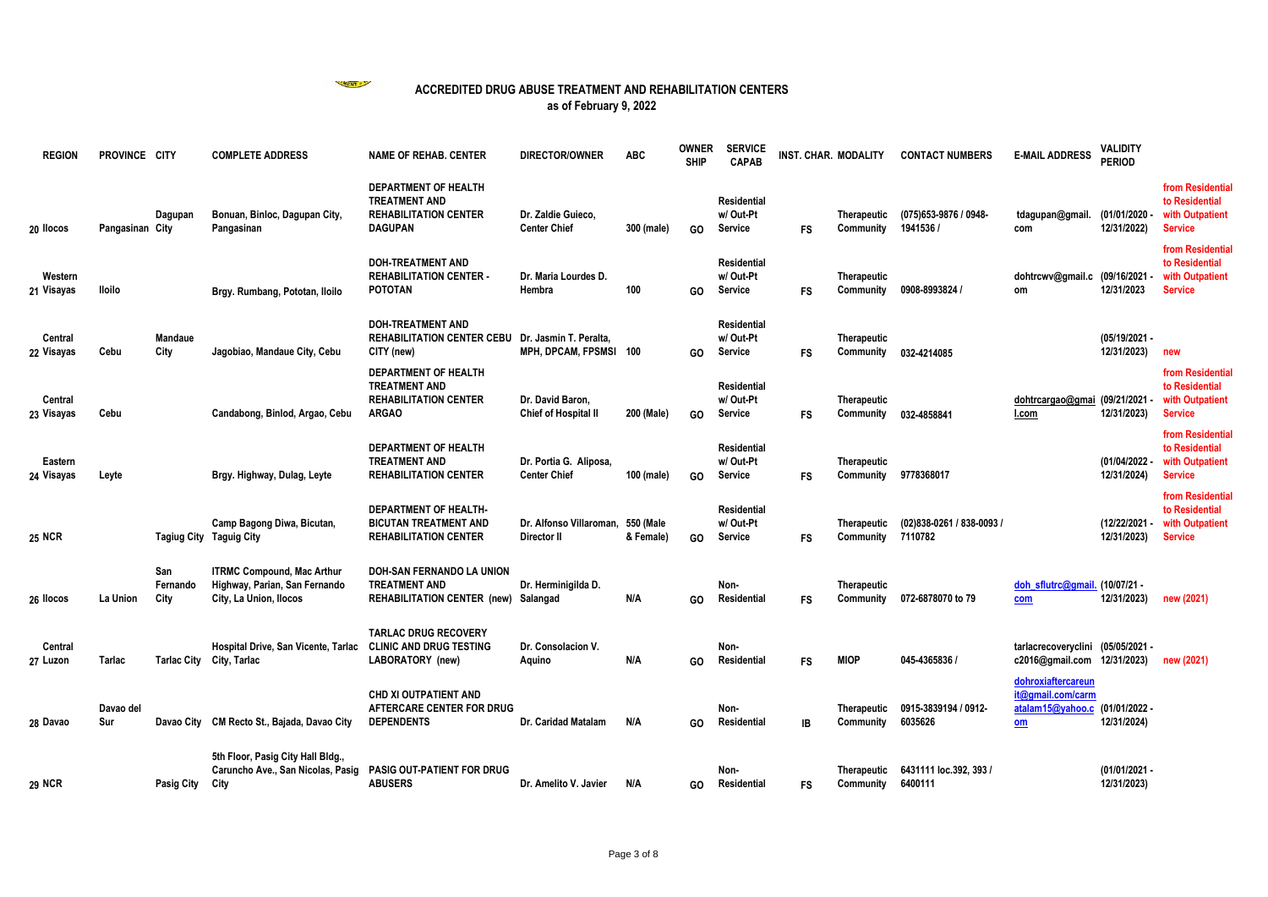

| <b>REGION</b>         | PROVINCE CITY    |                         | <b>COMPLETE ADDRESS</b>                                                                      | <b>NAME OF REHAB. CENTER</b>                                                                        | <b>DIRECTOR/OWNER</b>                            | <b>ABC</b>             | <b>OWNER</b><br><b>SHIP</b> | <b>SERVICE</b><br><b>CAPAB</b>            | <b>INST. CHAR. MODALITY</b> |                                 | <b>CONTACT NUMBERS</b>               | <b>E-MAIL ADDRESS</b>                                             | <b>VALIDITY</b><br><b>PERIOD</b> |                                                                         |
|-----------------------|------------------|-------------------------|----------------------------------------------------------------------------------------------|-----------------------------------------------------------------------------------------------------|--------------------------------------------------|------------------------|-----------------------------|-------------------------------------------|-----------------------------|---------------------------------|--------------------------------------|-------------------------------------------------------------------|----------------------------------|-------------------------------------------------------------------------|
| 20 llocos             | Pangasinan City  | Dagupan                 | Bonuan, Binloc, Dagupan City,<br>Pangasinan                                                  | DEPARTMENT OF HEALTH<br><b>TREATMENT AND</b><br><b>REHABILITATION CENTER</b><br><b>DAGUPAN</b>      | Dr. Zaldie Guieco,<br><b>Center Chief</b>        | 300 (male)             | GO                          | Residential<br>w/Out-Pt<br>Service        | <b>FS</b>                   | Therapeutic<br>Community        | (075) 653-9876 / 0948-<br>1941536 /  | tdagupan@gmail.<br>com                                            | (01/01/2020)<br>12/31/2022)      | from Residential<br>to Residential<br>with Outpatient<br><b>Service</b> |
| Western<br>21 Visayas | lloilo           |                         | Brgy. Rumbang, Pototan, Iloilo                                                               | <b>DOH-TREATMENT AND</b><br><b>REHABILITATION CENTER -</b><br><b>POTOTAN</b>                        | Dr. Maria Lourdes D.<br>Hembra                   | 100                    | GO                          | <b>Residential</b><br>w/Out-Pt<br>Service | <b>FS</b>                   | Therapeutic<br>Community        | 0908-8993824                         | dohtrcwv@gmail.c (09/16/2021<br>om                                | 12/31/2023                       | from Residentia<br>to Residential<br>with Outpatient<br><b>Service</b>  |
| Central<br>22 Visayas | Cebu             | <b>Mandaue</b><br>City  | Jagobiao, Mandaue City, Cebu                                                                 | <b>DOH-TREATMENT AND</b><br><b>REHABILITATION CENTER CEBU</b><br>CITY (new)                         | Dr. Jasmin T. Peralta.<br>MPH, DPCAM, FPSMSI 100 |                        | GO                          | <b>Residential</b><br>w/Out-Pt<br>Service | <b>FS</b>                   | Therapeutic<br>Community        | 032-4214085                          |                                                                   | (05/19/2021 -<br>12/31/2023)     | new                                                                     |
| Central<br>23 Visayas | Cebu             |                         | Candabong, Binlod, Argao, Cebu                                                               | <b>DEPARTMENT OF HEALTH</b><br><b>TREATMENT AND</b><br><b>REHABILITATION CENTER</b><br><b>ARGAO</b> | Dr. David Baron,<br><b>Chief of Hospital II</b>  | 200 (Male)             | GO                          | <b>Residential</b><br>w/Out-Pt<br>Service | <b>FS</b>                   | Therapeutic<br>Community        | 032-4858841                          | dohtrcargao@gmai (09/21/2021<br>l.com                             | 12/31/2023)                      | from Residentia<br>to Residential<br>with Outpatient<br><b>Service</b>  |
| Eastern<br>24 Visayas | Leyte            |                         | Brgy. Highway, Dulag, Leyte                                                                  | <b>DEPARTMENT OF HEALTH</b><br><b>TREATMENT AND</b><br><b>REHABILITATION CENTER</b>                 | Dr. Portia G. Aliposa.<br><b>Center Chief</b>    | 100 (male)             | GO                          | <b>Residential</b><br>w/Out-Pt<br>Service | <b>FS</b>                   | Therapeutic<br>Community        | 9778368017                           |                                                                   | (01/04/2022 -<br>12/31/2024)     | from Residentia<br>to Residential<br>with Outpatient<br><b>Service</b>  |
| <b>25 NCR</b>         |                  |                         | Camp Bagong Diwa, Bicutan,<br>Tagiug City Taguig City                                        | <b>DEPARTMENT OF HEALTH-</b><br><b>BICUTAN TREATMENT AND</b><br><b>REHABILITATION CENTER</b>        | Dr. Alfonso Villaroman,<br>Director II           | 550 (Male<br>& Female) | GO                          | Residential<br>w/Out-Pt<br>Service        | <b>FS</b>                   | <b>Therapeutic</b><br>Community | (02)838-0261 / 838-0093 /<br>7110782 |                                                                   | (12/22/2021)<br>12/31/2023)      | from Residential<br>to Residential<br>with Outpatient<br><b>Service</b> |
| 26 llocos             | La Union         | San<br>Fernando<br>City | <b>ITRMC Compound, Mac Arthur</b><br>Highway, Parian, San Fernando<br>City, La Union, Ilocos | <b>DOH-SAN FERNANDO LA UNION</b><br><b>TREATMENT AND</b><br><b>REHABILITATION CENTER (new)</b>      | Dr. Herminigilda D.<br>Salangad                  | N/A                    | GO                          | Non-<br>Residential                       | <b>FS</b>                   | Therapeutic<br>Community        | 072-6878070 to 79                    | doh sflutrc@gmail. (10/07/21 -<br>com                             | 12/31/2023)                      | new (2021)                                                              |
| Central<br>27 Luzon   | Tarlac           |                         | Hospital Drive, San Vicente, Tarlac<br>Tarlac City City, Tarlac                              | <b>TARLAC DRUG RECOVERY</b><br><b>CLINIC AND DRUG TESTING</b><br>LABORATORY (new)                   | Dr. Consolacion V.<br>Aquino                     | N/A                    | GO                          | Non-<br>Residential                       | <b>FS</b>                   | <b>MIOP</b>                     | 045-4365836 /                        | tarlacrecoveryclini<br>c2016@gmail.com 12/31/2023)                | (05/05/2021 -                    | new (2021)                                                              |
| 28 Davao              | Davao del<br>Sur |                         | Davao City CM Recto St., Bajada, Davao City                                                  | <b>CHD XI OUTPATIENT AND</b><br>AFTERCARE CENTER FOR DRUG<br><b>DEPENDENTS</b>                      | Dr. Caridad Matalam                              | N/A                    | GO                          | Non-<br>Residential                       | IB                          | <b>Therapeutic</b><br>Community | 0915-3839194 / 0912-<br>6035626      | dohroxiaftercareun<br>it@gmail.com/carm<br>atalam15@yahoo.c<br>om | (01/01/2022 -<br>12/31/2024)     |                                                                         |
| <b>29 NCR</b>         |                  | Pasig City              | 5th Floor, Pasig City Hall Bldg.,<br>Caruncho Ave., San Nicolas, Pasig<br>City               | <b>PASIG OUT-PATIENT FOR DRUG</b><br><b>ABUSERS</b>                                                 | Dr. Amelito V. Javier                            | N/A                    | GO.                         | Non-<br>Residential                       | <b>FS</b>                   | Therapeutic<br>Community        | 6431111 loc.392, 393 /<br>6400111    |                                                                   | (01/01/2021 -<br>12/31/2023)     |                                                                         |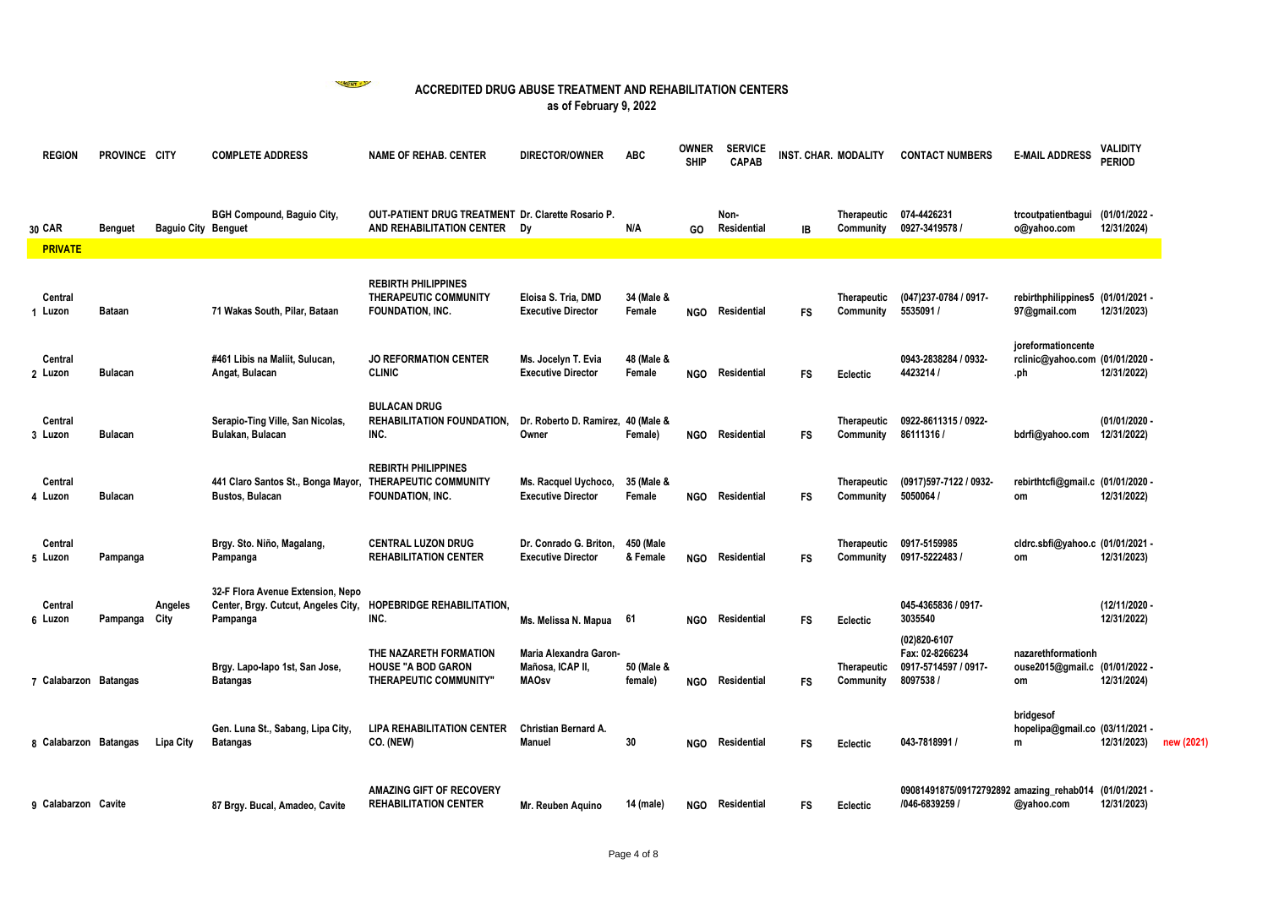WENT &

| <b>REGION</b>         | PROVINCE CITY  |                            | <b>COMPLETE ADDRESS</b>                                                              | <b>NAME OF REHAB, CENTER</b>                                                           | <b>DIRECTOR/OWNER</b>                                      | <b>ABC</b>            | <b>OWNER</b><br><b>SHIP</b> | <b>SERVICE</b><br><b>CAPAB</b> | INST. CHAR. MODALITY |                                 | <b>CONTACT NUMBERS</b>                                                 | <b>E-MAIL ADDRESS</b>                                        | <b>VALIDITY</b><br><b>PERIOD</b> |
|-----------------------|----------------|----------------------------|--------------------------------------------------------------------------------------|----------------------------------------------------------------------------------------|------------------------------------------------------------|-----------------------|-----------------------------|--------------------------------|----------------------|---------------------------------|------------------------------------------------------------------------|--------------------------------------------------------------|----------------------------------|
| 30 CAR                | <b>Benguet</b> | <b>Baguio City Benguet</b> | <b>BGH Compound, Baguio City,</b>                                                    | <b>OUT-PATIENT DRUG TREATMENT Dr. Clarette Rosario P.</b><br>AND REHABILITATION CENTER | Dv                                                         | N/A                   | GO.                         | Non-<br>Residential            | IB                   | Community                       | Therapeutic 074-4426231<br>0927-3419578 /                              | trcoutpatientbagui (01/01/2022 -<br>o@yahoo.com              | 12/31/2024)                      |
| <b>PRIVATE</b>        |                |                            |                                                                                      |                                                                                        |                                                            |                       |                             |                                |                      |                                 |                                                                        |                                                              |                                  |
| Central<br>1 Luzon    | <b>Bataan</b>  |                            | 71 Wakas South, Pilar, Bataan                                                        | <b>REBIRTH PHILIPPINES</b><br>THERAPEUTIC COMMUNITY<br><b>FOUNDATION, INC.</b>         | Eloisa S. Tria, DMD<br><b>Executive Director</b>           | 34 (Male &<br>Female  | <b>NGO</b>                  | Residential                    | <b>FS</b>            | <b>Therapeutic</b><br>Community | (047)237-0784 / 0917-<br>5535091 /                                     | rebirthphilippines5 (01/01/2021 -<br>97@gmail.com            | 12/31/2023)                      |
| Central<br>2 Luzon    | <b>Bulacan</b> |                            | #461 Libis na Maliit, Sulucan,<br>Angat, Bulacan                                     | <b>JO REFORMATION CENTER</b><br><b>CLINIC</b>                                          | Ms. Jocelyn T. Evia<br><b>Executive Director</b>           | 48 (Male &<br>Female  | <b>NGO</b>                  | Residential                    | <b>FS</b>            | Eclectic                        | 0943-2838284 / 0932-<br>4423214 /                                      | joreformationcente<br>rclinic@yahoo.com (01/01/2020 -<br>.ph | 12/31/2022)                      |
| Central<br>3 Luzon    | <b>Bulacan</b> |                            | Serapio-Ting Ville, San Nicolas,<br>Bulakan, Bulacan                                 | <b>BULACAN DRUG</b><br><b>REHABILITATION FOUNDATION.</b><br>INC.                       | Dr. Roberto D. Ramirez, 40 (Male &<br>Owner                | Female)               | <b>NGO</b>                  | Residential                    | <b>FS</b>            | <b>Therapeutic</b><br>Community | 0922-8611315 / 0922-<br>86111316                                       | bdrfi@yahoo.com                                              | (01/01/2020 -<br>12/31/2022)     |
| Central<br>4 Luzon    | <b>Bulacan</b> |                            | 441 Claro Santos St., Bonga Mayor, THERAPEUTIC COMMUNITY<br><b>Bustos, Bulacan</b>   | <b>REBIRTH PHILIPPINES</b><br>FOUNDATION, INC.                                         | Ms. Racquel Uychoco,<br><b>Executive Director</b>          | 35 (Male &<br>Female  | <b>NGO</b>                  | Residential                    | <b>FS</b>            | Therapeutic<br>Community        | (0917)597-7122 / 0932-<br>5050064                                      | rebirthtcfi@gmail.c (01/01/2020 -<br>om                      | 12/31/2022)                      |
| Central<br>5 Luzon    | Pampanga       |                            | Brgy. Sto. Niño, Magalang,<br>Pampanga                                               | <b>CENTRAL LUZON DRUG</b><br><b>REHABILITATION CENTER</b>                              | Dr. Conrado G. Briton.<br><b>Executive Director</b>        | 450 (Male<br>& Female | <b>NGO</b>                  | Residential                    | <b>FS</b>            | Therapeutic<br>Community        | 0917-5159985<br>0917-5222483 /                                         | cldrc.sbfi@yahoo.c (01/01/2021 -<br>om                       | 12/31/2023)                      |
| Central<br>6 Luzon    | Pampanga City  | Angeles                    | 32-F Flora Avenue Extension, Nepo<br>Center, Brgy. Cutcut, Angeles City,<br>Pampanga | <b>HOPEBRIDGE REHABILITATION,</b><br>INC.                                              | Ms. Melissa N. Mapua 61                                    |                       | <b>NGO</b>                  | Residential                    | <b>FS</b>            | Eclectic                        | 045-4365836 / 0917-<br>3035540                                         |                                                              | (12/11/2020 -<br>12/31/2022)     |
| 7 Calabarzon Batangas |                |                            | Brgy. Lapo-lapo 1st, San Jose,<br><b>Batangas</b>                                    | THE NAZARETH FORMATION<br><b>HOUSE "A BOD GARON</b><br>THERAPEUTIC COMMUNITY"          | Maria Alexandra Garon-<br>Mañosa, ICAP II,<br><b>MAOsv</b> | 50 (Male &<br>female) | <b>NGO</b>                  | Residential                    | <b>FS</b>            | Therapeutic<br>Community        | (02)820-6107<br>Fax: 02-8266234<br>0917-5714597 / 0917-<br>8097538     | nazarethformationh<br>ouse2015@gmail.c (01/01/2022 -<br>om   | 12/31/2024)                      |
| 8 Calabarzon Batangas |                | Lipa City                  | Gen. Luna St., Sabang, Lipa City,<br><b>Batangas</b>                                 | <b>LIPA REHABILITATION CENTER</b><br>CO. (NEW)                                         | <b>Christian Bernard A.</b><br><b>Manuel</b>               | 30                    | <b>NGO</b>                  | Residential                    | <b>FS</b>            | Eclectic                        | 043-7818991 /                                                          | bridgesof<br>hopelipa@gmail.co (03/11/2021 -<br>m            | 12/31/2023)                      |
| 9 Calabarzon Cavite   |                |                            | 87 Brgy. Bucal, Amadeo, Cavite                                                       | <b>AMAZING GIFT OF RECOVERY</b><br><b>REHABILITATION CENTER</b>                        | Mr. Reuben Aquino                                          | 14 (male)             |                             | NGO Residential                | FS                   | Eclectic                        | 09081491875/09172792892 amazing_rehab014 (01/01/2021 -<br>/046-6839259 | @yahoo.com                                                   | 12/31/2023)                      |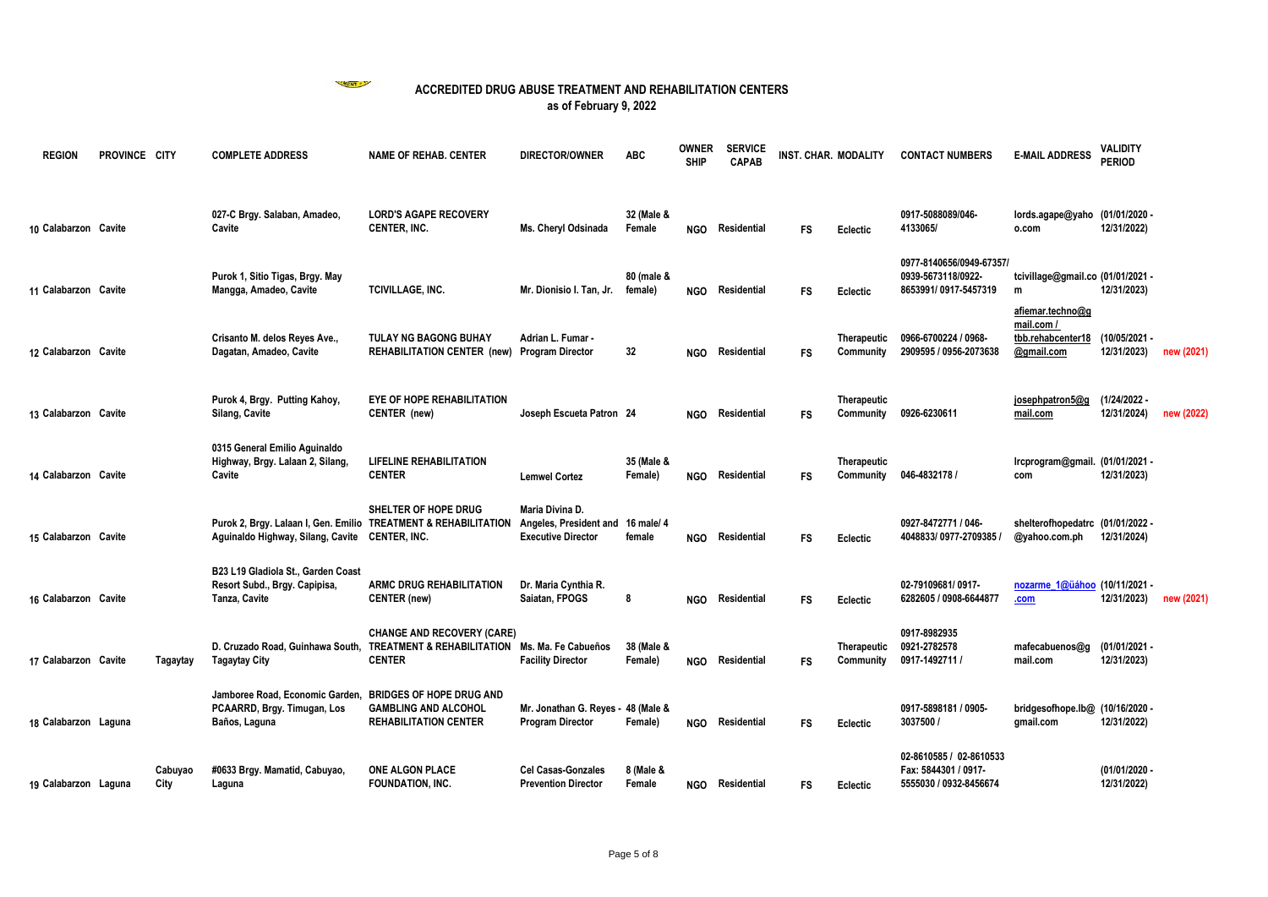

| <b>REGION</b>        | PROVINCE CITY |                 | <b>COMPLETE ADDRESS</b>                                                                                           | <b>NAME OF REHAB. CENTER</b>                                                                         | <b>DIRECTOR/OWNER</b>                                                             | <b>ABC</b>            | <b>OWNER</b><br><b>SHIP</b> | <b>SERVICE</b><br><b>CAPAB</b> | INST. CHAR. MODALITY |                                 | <b>CONTACT NUMBERS</b>                                                    | <b>E-MAIL ADDRESS</b>                                      | <b>VALIDITY</b><br><b>PERIOD</b> |            |
|----------------------|---------------|-----------------|-------------------------------------------------------------------------------------------------------------------|------------------------------------------------------------------------------------------------------|-----------------------------------------------------------------------------------|-----------------------|-----------------------------|--------------------------------|----------------------|---------------------------------|---------------------------------------------------------------------------|------------------------------------------------------------|----------------------------------|------------|
| 10 Calabarzon Cavite |               |                 | 027-C Brgy. Salaban, Amadeo,<br>Cavite                                                                            | <b>LORD'S AGAPE RECOVERY</b><br><b>CENTER, INC.</b>                                                  | Ms. Cheryl Odsinada                                                               | 32 (Male &<br>Female  | NGO                         | Residential                    | <b>FS</b>            | Eclectic                        | 0917-5088089/046-<br>4133065/                                             | lords.agape@yaho (01/01/2020 -<br>o.com                    | 12/31/2022)                      |            |
| 11 Calabarzon Cavite |               |                 | Purok 1, Sitio Tigas, Brgy. May<br>Mangga, Amadeo, Cavite                                                         | TCIVILLAGE, INC.                                                                                     | Mr. Dionisio I. Tan, Jr.                                                          | 80 (male &<br>female) | <b>NGO</b>                  | Residential                    | <b>FS</b>            | Eclectic                        | 0977-8140656/0949-67357/<br>0939-5673118/0922-<br>8653991/0917-5457319    | tcivillage@gmail.co (01/01/2021 -<br>m<br>afiemar.techno@g | 12/31/2023)                      |            |
| 12 Calabarzon Cavite |               |                 | Crisanto M. delos Reyes Ave.,<br>Dagatan, Amadeo, Cavite                                                          | <b>TULAY NG BAGONG BUHAY</b><br><b>REHABILITATION CENTER (new)</b>                                   | Adrian L. Fumar -<br><b>Program Director</b>                                      | 32                    | <b>NGO</b>                  | Residential                    | <b>FS</b>            | Therapeutic<br>Community        | 0966-6700224 / 0968-<br>2909595 / 0956-2073638                            | mail.com /<br>tbb.rehabcenter18<br>@gmail.com              | (10/05/2021-<br>12/31/2023)      | new (2021) |
| 13 Calabarzon Cavite |               |                 | Purok 4, Brgy. Putting Kahoy,<br>Silang, Cavite                                                                   | <b>EYE OF HOPE REHABILITATION</b><br>CENTER (new)                                                    | Joseph Escueta Patron 24                                                          |                       | NGO                         | Residential                    | <b>FS</b>            | <b>Therapeutic</b><br>Community | 0926-6230611                                                              | josephpatron5@g<br>mail.com                                | (1/24/2022 -<br>12/31/2024)      | new (2022) |
| 14 Calabarzon Cavite |               |                 | 0315 General Emilio Aguinaldo<br>Highway, Brgy. Lalaan 2, Silang,<br>Cavite                                       | <b>LIFELINE REHABILITATION</b><br><b>CENTER</b>                                                      | <b>Lemwel Cortez</b>                                                              | 35 (Male &<br>Female) | NGO                         | Residential                    | <b>FS</b>            | Therapeutic<br>Community        | 046-4832178 /                                                             | Ircprogram@gmail. (01/01/2021 -<br>com                     | 12/31/2023)                      |            |
| 15 Calabarzon Cavite |               |                 | Purok 2, Brgy. Lalaan I, Gen. Emilio TREATMENT & REHABILITATION<br>Aguinaldo Highway, Silang, Cavite CENTER, INC. | SHELTER OF HOPE DRUG                                                                                 | Maria Divina D.<br>Angeles, President and 16 male/ 4<br><b>Executive Director</b> | female                | <b>NGO</b>                  | Residential                    | FS                   | Eclectic                        | 0927-8472771 / 046-<br>4048833/0977-2709385                               | shelterofhopedatrc (01/01/2022 -<br>@yahoo.com.ph          | 12/31/2024)                      |            |
| 16 Calabarzon Cavite |               |                 | B23 L19 Gladiola St., Garden Coast<br>Resort Subd., Brgy. Capipisa,<br>Tanza, Cavite                              | <b>ARMC DRUG REHABILITATION</b><br><b>CENTER</b> (new)                                               | Dr. Maria Cynthia R.<br>Saiatan, FPOGS                                            | 8                     | <b>NGO</b>                  | Residential                    | <b>FS</b>            | Eclectic                        | 02-79109681/0917-<br>6282605 / 0908-6644877                               | nozarme 1@üáhoo (10/11/2021 -<br>.com                      | 12/31/2023)                      | new (2021) |
| 17 Calabarzon Cavite |               | Tagaytay        | D. Cruzado Road, Guinhawa South,<br><b>Tagaytay City</b>                                                          | <b>CHANGE AND RECOVERY (CARE)</b><br>TREATMENT & REHABILITATION Ms. Ma. Fe Cabueños<br><b>CENTER</b> | <b>Facility Director</b>                                                          | 38 (Male &<br>Female) | NGO                         | Residential                    | <b>FS</b>            | <b>Therapeutic</b><br>Community | 0917-8982935<br>0921-2782578<br>0917-1492711 /                            | mafecabuenos@g<br>mail.com                                 | (01/01/2021 -<br>12/31/2023)     |            |
| 18 Calabarzon Laguna |               |                 | Jamboree Road, Economic Garden,<br>PCAARRD, Brgy. Timugan, Los<br>Baños, Laguna                                   | <b>BRIDGES OF HOPE DRUG AND</b><br><b>GAMBLING AND ALCOHOL</b><br><b>REHABILITATION CENTER</b>       | Mr. Jonathan G. Reyes - 48 (Male &<br><b>Program Director</b>                     | Female)               | <b>NGO</b>                  | Residential                    | <b>FS</b>            | Eclectic                        | 0917-5898181 / 0905-<br>3037500 /                                         | bridgesofhope.lb@ (10/16/2020 -<br>gmail.com               | 12/31/2022)                      |            |
| 19 Calabarzon Laguna |               | Cabuyao<br>City | #0633 Brgy. Mamatid, Cabuyao,<br>Laguna                                                                           | <b>ONE ALGON PLACE</b><br>FOUNDATION, INC.                                                           | <b>Cel Casas-Gonzales</b><br><b>Prevention Director</b>                           | 8 (Male &<br>Female   |                             | NGO Residential                | FS                   | Eclectic                        | 02-8610585 / 02-8610533<br>Fax: 5844301 / 0917-<br>5555030 / 0932-8456674 |                                                            | (01/01/2020)<br>12/31/2022)      |            |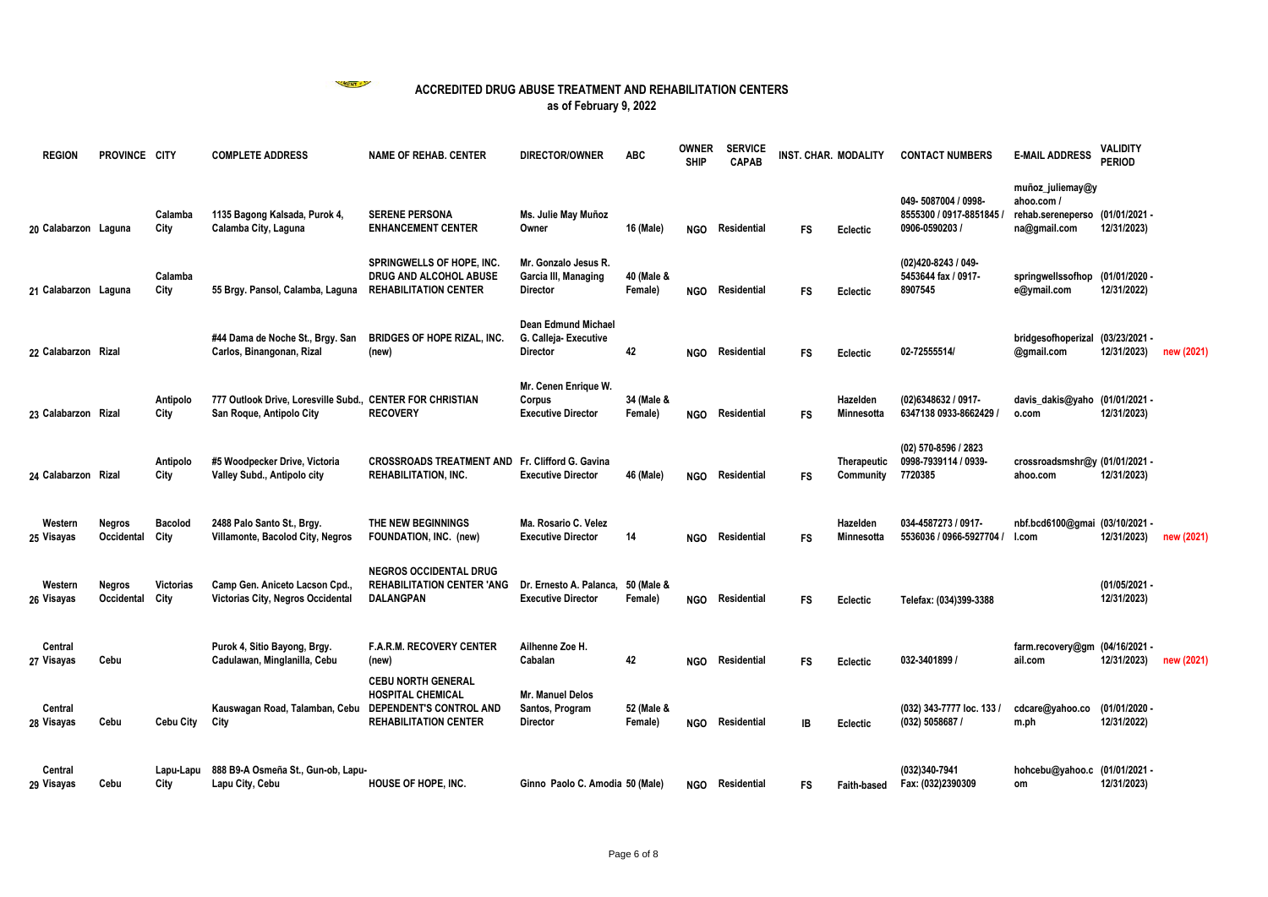

| <b>REGION</b>         | PROVINCE CITY               |                          | <b>COMPLETE ADDRESS</b>                                                               | <b>NAME OF REHAB. CENTER</b>                                                               | <b>DIRECTOR/OWNER</b>                                                  | <b>ABC</b>            | <b>OWNER</b><br><b>SHIP</b> | <b>SERVICE</b><br><b>CAPAB</b> | INST. CHAR. MODALITY |                                 | <b>CONTACT NUMBERS</b>                                            | <b>E-MAIL ADDRESS</b>                                               | <b>VALIDITY</b><br><b>PERIOD</b> |            |
|-----------------------|-----------------------------|--------------------------|---------------------------------------------------------------------------------------|--------------------------------------------------------------------------------------------|------------------------------------------------------------------------|-----------------------|-----------------------------|--------------------------------|----------------------|---------------------------------|-------------------------------------------------------------------|---------------------------------------------------------------------|----------------------------------|------------|
| 20 Calabarzon Laguna  |                             | Calamba<br>City          | 1135 Bagong Kalsada, Purok 4,<br>Calamba City, Laguna                                 | <b>SERENE PERSONA</b><br><b>ENHANCEMENT CENTER</b>                                         | Ms. Julie May Muñoz<br>Owner                                           | 16 (Male)             | <b>NGO</b>                  | Residential                    | <b>FS</b>            | Eclectic                        | 049-5087004 / 0998-<br>8555300 / 0917-8851845 /<br>0906-0590203 / | muñoz_juliemay@y<br>ahoo.com /<br>rehab.sereneperso<br>na@gmail.com | (01/01/2021 -<br>12/31/2023)     |            |
| 21 Calabarzon Laguna  |                             | Calamba<br>City          | 55 Brgy. Pansol, Calamba, Laguna                                                      | SPRINGWELLS OF HOPE, INC.<br>DRUG AND ALCOHOL ABUSE<br><b>REHABILITATION CENTER</b>        | Mr. Gonzalo Jesus R.<br>Garcia III, Managing<br><b>Director</b>        | 40 (Male &<br>Female) | <b>NGO</b>                  | Residential                    | FS                   | Eclectic                        | (02)420-8243 / 049-<br>5453644 fax / 0917-<br>8907545             | springwellssofhop<br>e@ymail.com                                    | (01/01/2020 -<br>12/31/2022)     |            |
| 22 Calabarzon Rizal   |                             |                          | #44 Dama de Noche St., Brgy. San<br>Carlos, Binangonan, Rizal                         | <b>BRIDGES OF HOPE RIZAL, INC.</b><br>(new)                                                | <b>Dean Edmund Michael</b><br>G. Calleja- Executive<br><b>Director</b> | 42                    | NGO                         | Residential                    | <b>FS</b>            | Eclectic                        | 02-72555514/                                                      | bridgesofhoperizal<br>@gmail.com                                    | (03/23/2021 -<br>12/31/2023)     | new (2021) |
| 23 Calabarzon Rizal   |                             | Antipolo<br>City         | 777 Outlook Drive, Loresville Subd., CENTER FOR CHRISTIAN<br>San Roque, Antipolo City | <b>RECOVERY</b>                                                                            | Mr. Cenen Enrique W.<br>Corpus<br><b>Executive Director</b>            | 34 (Male &<br>Female) | <b>NGO</b>                  | Residential                    | FS                   | Hazelden<br>Minnesotta          | (02)6348632 / 0917-<br>6347138 0933-8662429 /                     | davis_dakis@yaho (01/01/2021 -<br>o.com                             | 12/31/2023)                      |            |
| 24 Calabarzon Rizal   |                             | Antipolo<br>City         | #5 Woodpecker Drive, Victoria<br>Valley Subd., Antipolo city                          | <b>CROSSROADS TREATMENT AND Fr. Clifford G. Gavina</b><br><b>REHABILITATION, INC.</b>      | <b>Executive Director</b>                                              | 46 (Male)             | NGO                         | Residential                    | FS                   | <b>Therapeutic</b><br>Community | (02) 570-8596 / 2823<br>0998-7939114 / 0939-<br>7720385           | crossroadsmshr@y (01/01/2021 -<br>ahoo.com                          | 12/31/2023)                      |            |
| Western<br>25 Visayas | Negros<br>Occidental        | <b>Bacolod</b><br>City   | 2488 Palo Santo St., Brgy.<br>Villamonte, Bacolod City, Negros                        | THE NEW BEGINNINGS<br>FOUNDATION, INC. (new)                                               | Ma. Rosario C. Velez<br><b>Executive Director</b>                      | 14                    | <b>NGO</b>                  | Residential                    | <b>FS</b>            | Hazelden<br>Minnesotta          | 034-4587273 / 0917-<br>5536036 / 0966-5927704 /                   | nbf.bcd6100@gmai (03/10/2021 -<br>l.com                             | 12/31/2023)                      | new (2021) |
| Western<br>26 Visayas | <b>Negros</b><br>Occidental | <b>Victorias</b><br>City | Camp Gen. Aniceto Lacson Cpd.,<br>Victorias City, Negros Occidental                   | <b>NEGROS OCCIDENTAL DRUG</b><br><b>REHABILITATION CENTER 'ANG</b><br>DALANGPAN            | Dr. Ernesto A. Palanca, 50 (Male &<br><b>Executive Director</b>        | Female)               | <b>NGO</b>                  | Residential                    | <b>FS</b>            | Eclectic                        | Telefax: (034)399-3388                                            |                                                                     | (01/05/2021 -<br>12/31/2023)     |            |
| Central<br>27 Visayas | Cebu                        |                          | Purok 4, Sitio Bayong, Brgy.<br>Cadulawan, Minglanilla, Cebu                          | <b>F.A.R.M. RECOVERY CENTER</b><br>(new)<br><b>CEBU NORTH GENERAL</b>                      | Ailhenne Zoe H.<br>Cabalan                                             | 42                    | <b>NGO</b>                  | Residential                    | FS                   | Eclectic                        | 032-3401899 /                                                     | farm.recovery@gm (04/16/2021 -<br>ail.com                           | 12/31/2023)                      | new (2021) |
| Central<br>28 Visayas | Cebu                        | <b>Cebu City</b>         | Kauswagan Road, Talamban, Cebu<br>City                                                | <b>HOSPITAL CHEMICAL</b><br><b>DEPENDENT'S CONTROL AND</b><br><b>REHABILITATION CENTER</b> | Mr. Manuel Delos<br>Santos, Program<br><b>Director</b>                 | 52 (Male &<br>Female) | <b>NGO</b>                  | Residential                    | IB                   | Eclectic                        | (032) 343-7777 loc. 133 /<br>(032) 5058687 /                      | cdcare@yahoo.co<br>m.ph                                             | (01/01/2020 -<br>12/31/2022)     |            |
| Central<br>29 Visayas | Cebu                        | Lapu-Lapu<br>City        | 888 B9-A Osmeña St., Gun-ob, Lapu-<br>Lapu City, Cebu                                 | HOUSE OF HOPE, INC.                                                                        | Ginno Paolo C. Amodia 50 (Male)                                        |                       |                             | NGO Residential                | FS                   | <b>Faith-based</b>              | (032)340-7941<br>Fax: (032)2390309                                | hohcebu@yahoo.c (01/01/2021 -<br>om                                 | 12/31/2023)                      |            |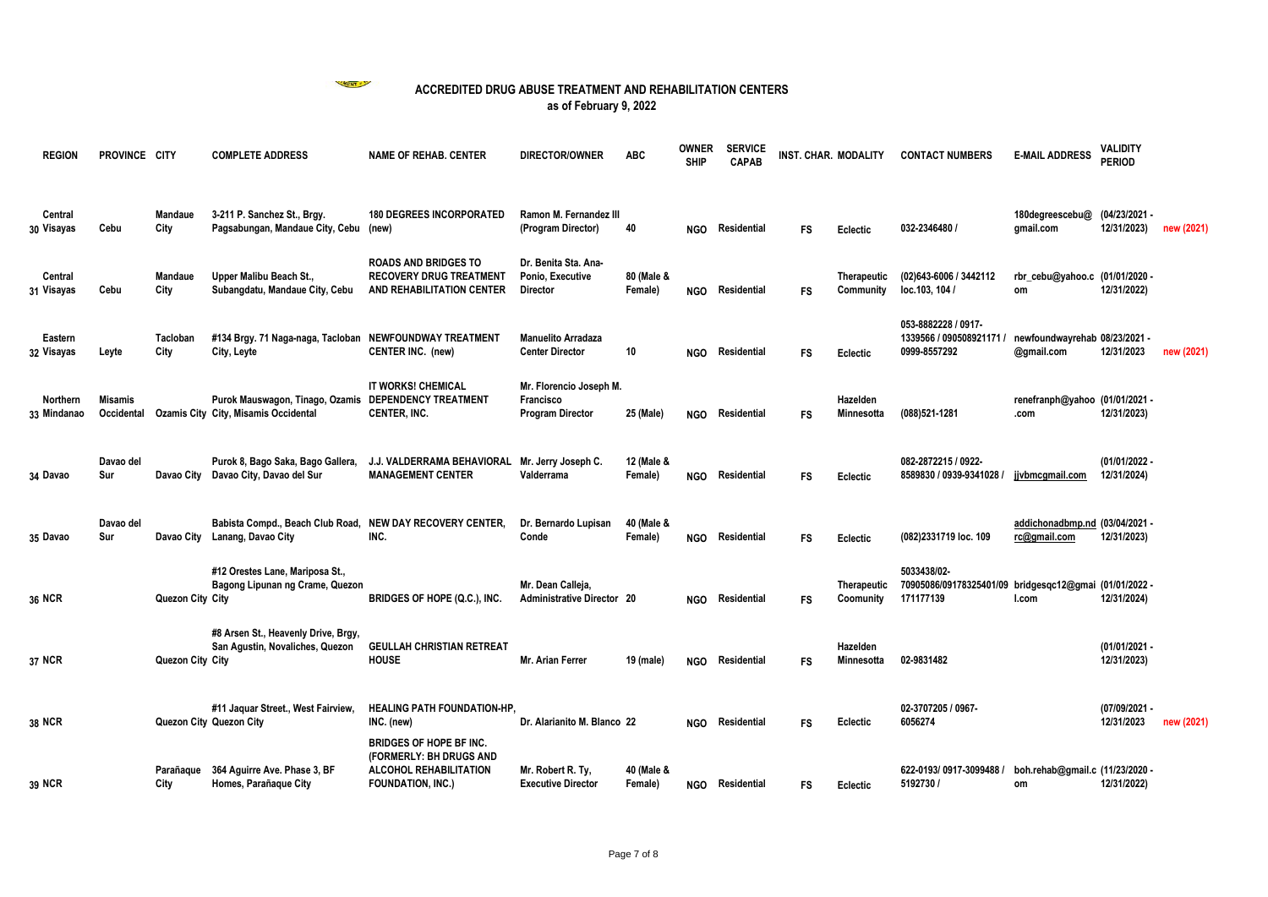

| <b>REGION</b>                  | PROVINCE CITY                |                        | <b>COMPLETE ADDRESS</b>                                                 | <b>NAME OF REHAB. CENTER</b>                                                                                    | <b>DIRECTOR/OWNER</b>                                           | <b>ABC</b>            | OWNER<br><b>SHIP</b> | <b>SERVICE</b><br><b>CAPAB</b> | INST. CHAR. MODALITY |                               | <b>CONTACT NUMBERS</b>                                                             | <b>E-MAIL ADDRESS</b>                          | VALIDITY<br><b>PERIOD</b>    |            |
|--------------------------------|------------------------------|------------------------|-------------------------------------------------------------------------|-----------------------------------------------------------------------------------------------------------------|-----------------------------------------------------------------|-----------------------|----------------------|--------------------------------|----------------------|-------------------------------|------------------------------------------------------------------------------------|------------------------------------------------|------------------------------|------------|
| Central<br>30 Visayas          | Cebu                         | Mandaue<br>City        | 3-211 P. Sanchez St., Brgy.<br>Pagsabungan, Mandaue City, Cebu          | <b>180 DEGREES INCORPORATED</b><br>(new)                                                                        | Ramon M. Fernandez III<br>(Program Director)                    | 40                    | <b>NGO</b>           | Residential                    | <b>FS</b>            | Eclectic                      | 032-2346480 /                                                                      | 180degreescebu@<br>gmail.com                   | (04/23/2021 -<br>12/31/2023) | new (2021) |
| Central<br>31 Visayas          | Cebu                         | <b>Mandaue</b><br>City | Upper Malibu Beach St.,<br>Subangdatu, Mandaue City, Cebu               | <b>ROADS AND BRIDGES TO</b><br><b>RECOVERY DRUG TREATMENT</b><br>AND REHABILITATION CENTER                      | Dr. Benita Sta. Ana-<br>Ponio, Executive<br><b>Director</b>     | 80 (Male &<br>Female) | <b>NGO</b>           | Residential                    | <b>FS</b>            | Therapeutic<br>Community      | (02)643-6006 / 3442112<br>loc.103, 104 /                                           | rbr_cebu@yahoo.c (01/01/2020 -<br>om           | 12/31/2022)                  |            |
| Eastern<br>32 Visayas          | Leyte                        | Tacloban<br>City       | #134 Brgy. 71 Naga-naga, Tacloban<br>City, Leyte                        | NEWFOUNDWAY TREATMENT<br><b>CENTER INC. (new)</b>                                                               | <b>Manuelito Arradaza</b><br><b>Center Director</b>             | 10                    | <b>NGO</b>           | Residential                    | <b>FS</b>            | Eclectic                      | 053-8882228 / 0917-<br>1339566 / 090508921171 /<br>0999-8557292                    | newfoundwayrehab 08/23/2021 -<br>@gmail.com    | 12/31/2023                   | new (2021) |
| <b>Northern</b><br>33 Mindanao | <b>Misamis</b><br>Occidental |                        | Purok Mauswagon, Tinago, Ozamis<br>Ozamis City City, Misamis Occidental | IT WORKS! CHEMICAL<br><b>DEPENDENCY TREATMENT</b><br><b>CENTER, INC.</b>                                        | Mr. Florencio Joseph M.<br>Francisco<br><b>Program Director</b> | 25 (Male)             | <b>NGO</b>           | Residential                    | <b>FS</b>            | Hazelden<br><b>Minnesotta</b> | (088)521-1281                                                                      | renefranph@yahoo (01/01/2021 -<br>.com         | 12/31/2023)                  |            |
| 34 Davao                       | Davao del<br>Sur             | Davao City             | Purok 8, Bago Saka, Bago Gallera,<br>Davao City, Davao del Sur          | J.J. VALDERRAMA BEHAVIORAL<br><b>MANAGEMENT CENTER</b>                                                          | Mr. Jerry Joseph C.<br>Valderrama                               | 12 (Male &<br>Female) | <b>NGO</b>           | Residential                    | <b>FS</b>            | Eclectic                      | 082-2872215 / 0922-<br>8589830 / 0939-9341028 /                                    | jjvbmcgmail.com                                | (01/01/2022 -<br>12/31/2024) |            |
| 35 Davao                       | Davao del<br>Sur             | Davao City             | Babista Compd., Beach Club Road,<br>Lanang, Davao City                  | NEW DAY RECOVERY CENTER.<br>INC.                                                                                | Dr. Bernardo Lupisan<br>Conde                                   | 40 (Male &<br>Female) | <b>NGO</b>           | Residential                    | <b>FS</b>            | Eclectic                      | (082)2331719 loc. 109                                                              | addichonadbmp.nd (03/04/2021 -<br>rc@gmail.com | 12/31/2023)                  |            |
| 36 NCR                         |                              | Quezon City City       | #12 Orestes Lane, Mariposa St.,<br>Bagong Lipunan ng Crame, Quezon      | BRIDGES OF HOPE (Q.C.), INC.                                                                                    | Mr. Dean Calleja,<br><b>Administrative Director 20</b>          |                       | <b>NGO</b>           | Residential                    | <b>FS</b>            | Therapeutic<br>Coomunity      | 5033438/02-<br>70905086/09178325401/09 bridgesqc12@gmai (01/01/2022 -<br>171177139 | l.com                                          | 12/31/2024)                  |            |
| 37 NCR                         |                              | Quezon City City       | #8 Arsen St., Heavenly Drive, Brgy,<br>San Agustin, Novaliches, Quezon  | <b>GEULLAH CHRISTIAN RETREAT</b><br><b>HOUSE</b>                                                                | <b>Mr. Arian Ferrer</b>                                         | 19 (male)             | <b>NGO</b>           | Residential                    | <b>FS</b>            | Hazelden<br>Minnesotta        | 02-9831482                                                                         |                                                | (01/01/2021 -<br>12/31/2023) |            |
| 38 NCR                         |                              |                        | #11 Jaquar Street., West Fairview,<br>Quezon City Quezon City           | <b>HEALING PATH FOUNDATION-HP.</b><br>INC. (new)                                                                | Dr. Alarianito M. Blanco 22                                     |                       | <b>NGO</b>           | Residential                    | <b>FS</b>            | Eclectic                      | 02-3707205 / 0967-<br>6056274                                                      |                                                | (07/09/2021 -<br>12/31/2023  | new (2021) |
| 39 NCR                         |                              | Parañaque<br>City      | 364 Aguirre Ave. Phase 3, BF<br>Homes, Parañaque City                   | <b>BRIDGES OF HOPE BF INC.</b><br>(FORMERLY: BH DRUGS AND<br>ALCOHOL REHABILITATION<br><b>FOUNDATION, INC.)</b> | Mr. Robert R. Ty,<br><b>Executive Director</b>                  | 40 (Male &<br>Female) | <b>NGO</b>           | Residential                    | FS                   | Eclectic                      | 622-0193/0917-3099488 /<br>5192730 /                                               | boh.rehab@gmail.c (11/23/2020 -<br>om          | 12/31/2022)                  |            |